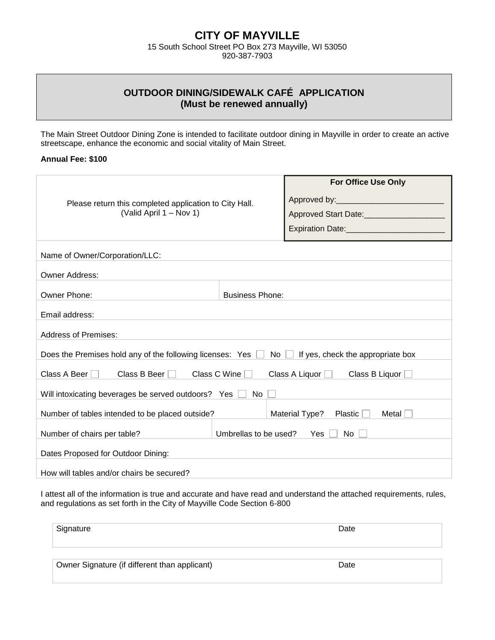## **CITY OF MAYVILLE**

15 South School Street PO Box 273 Mayville, WI 53050 920-387-7903

## **OUTDOOR DINING/SIDEWALK CAFÉ APPLICATION (Must be renewed annually)**

The Main Street Outdoor Dining Zone is intended to facilitate outdoor dining in Mayville in order to create an active streetscape, enhance the economic and social vitality of Main Street.

## **Annual Fee: \$100**

| Please return this completed application to City Hall.<br>(Valid April 1 – Nov 1)                            |                        | <b>For Office Use Only</b><br>Approved Start Date: 1980 1991 1992 1994<br>Expiration Date: Management Contract Property Contract Property Contract Property Contract Property Contract P |  |
|--------------------------------------------------------------------------------------------------------------|------------------------|------------------------------------------------------------------------------------------------------------------------------------------------------------------------------------------|--|
| Name of Owner/Corporation/LLC:                                                                               |                        |                                                                                                                                                                                          |  |
| <b>Owner Address:</b>                                                                                        |                        |                                                                                                                                                                                          |  |
| Owner Phone:                                                                                                 | <b>Business Phone:</b> |                                                                                                                                                                                          |  |
| Email address:                                                                                               |                        |                                                                                                                                                                                          |  |
| <b>Address of Premises:</b>                                                                                  |                        |                                                                                                                                                                                          |  |
| Does the Premises hold any of the following licenses: Yes $\Box$ No $\Box$ If yes, check the appropriate box |                        |                                                                                                                                                                                          |  |
| Class A Beer $\Box$<br>Class B Beer $\Box$<br>Class C Wine<br>Class A Liquor Class B Liquor                  |                        |                                                                                                                                                                                          |  |
| Will intoxicating beverages be served outdoors? Yes<br>No.                                                   |                        |                                                                                                                                                                                          |  |
| Number of tables intended to be placed outside?                                                              |                        | Material Type?<br>Plastic<br>Metal                                                                                                                                                       |  |
| Number of chairs per table?                                                                                  | Umbrellas to be used?  | Yes<br>No                                                                                                                                                                                |  |
| Dates Proposed for Outdoor Dining:                                                                           |                        |                                                                                                                                                                                          |  |
| How will tables and/or chairs be secured?                                                                    |                        |                                                                                                                                                                                          |  |

I attest all of the information is true and accurate and have read and understand the attached requirements, rules, and regulations as set forth in the City of Mayville Code Section 6-800

| Signature                                     | Date |
|-----------------------------------------------|------|
| Owner Signature (if different than applicant) | Date |